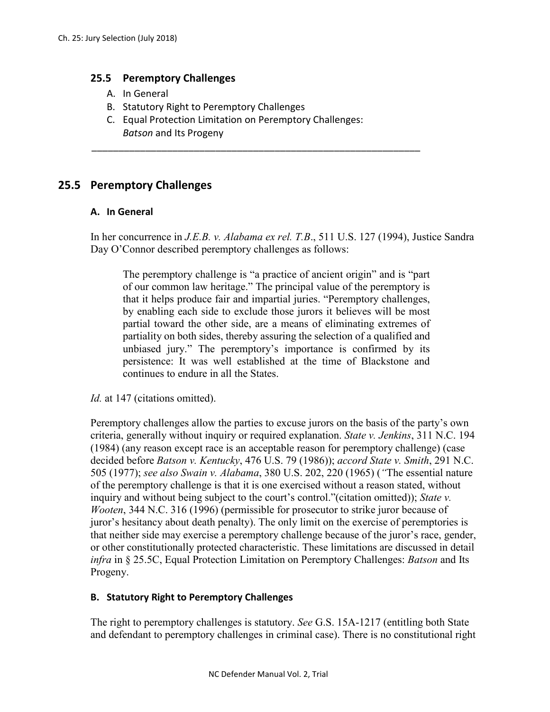### **25.5 Peremptory Challenges**

- A. In General
- B. Statutory Right to Peremptory Challenges
- C. Equal Protection Limitation on Peremptory Challenges: *Batson* and Its Progeny

\_\_\_\_\_\_\_\_\_\_\_\_\_\_\_\_\_\_\_\_\_\_\_\_\_\_\_\_\_\_\_\_\_\_\_\_\_\_\_\_\_\_\_\_\_\_\_\_\_\_\_\_\_\_\_\_\_\_\_\_\_

# **25.5 Peremptory Challenges**

#### **A. In General**

In her concurrence in *J.E.B. v. Alabama ex rel. T.B*., 511 U.S. 127 (1994), Justice Sandra Day O'Connor described peremptory challenges as follows:

The peremptory challenge is "a practice of ancient origin" and is "part of our common law heritage." The principal value of the peremptory is that it helps produce fair and impartial juries. "Peremptory challenges, by enabling each side to exclude those jurors it believes will be most partial toward the other side, are a means of eliminating extremes of partiality on both sides, thereby assuring the selection of a qualified and unbiased jury." The peremptory's importance is confirmed by its persistence: It was well established at the time of Blackstone and continues to endure in all the States.

*Id.* at 147 (citations omitted).

Peremptory challenges allow the parties to excuse jurors on the basis of the party's own criteria, generally without inquiry or required explanation. *State v. Jenkins*, 311 N.C. 194 (1984) (any reason except race is an acceptable reason for peremptory challenge) (case decided before *Batson v. Kentucky*, 476 U.S. 79 (1986)); *accord State v. Smith*, 291 N.C. 505 (1977); *see also Swain v. Alabama*, 380 U.S. 202, 220 (1965) (*"*The essential nature of the peremptory challenge is that it is one exercised without a reason stated, without inquiry and without being subject to the court's control."(citation omitted)); *State v. Wooten*, 344 N.C. 316 (1996) (permissible for prosecutor to strike juror because of juror's hesitancy about death penalty). The only limit on the exercise of peremptories is that neither side may exercise a peremptory challenge because of the juror's race, gender, or other constitutionally protected characteristic. These limitations are discussed in detail *infra* in § 25.5C, Equal Protection Limitation on Peremptory Challenges: *Batson* and Its Progeny.

## **B. Statutory Right to Peremptory Challenges**

The right to peremptory challenges is statutory. *See* G.S. 15A-1217 (entitling both State and defendant to peremptory challenges in criminal case). There is no constitutional right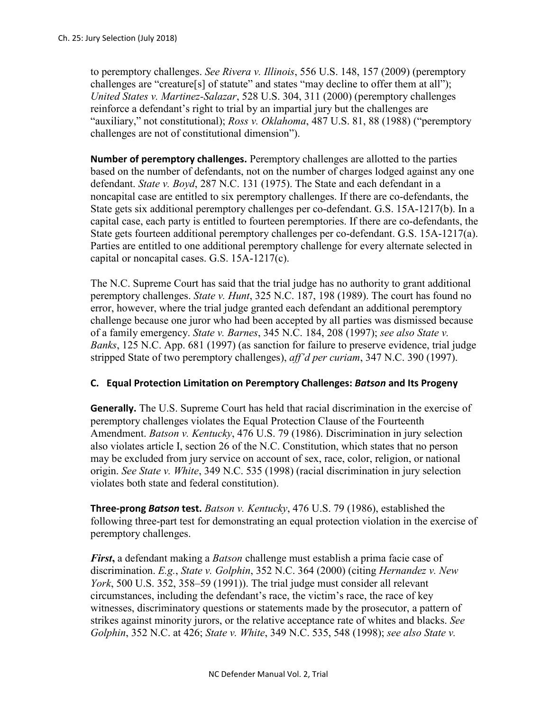to peremptory challenges. *See Rivera v. Illinois*, 556 U.S. 148, 157 (2009) (peremptory challenges are "creature[s] of statute" and states "may decline to offer them at all"); *United States v. Martinez-Salazar*, 528 U.S. 304, 311 (2000) (peremptory challenges reinforce a defendant's right to trial by an impartial jury but the challenges are "auxiliary," not constitutional); *Ross v. Oklahoma*, 487 U.S. 81, 88 (1988) ("peremptory challenges are not of constitutional dimension").

**Number of peremptory challenges.** Peremptory challenges are allotted to the parties based on the number of defendants, not on the number of charges lodged against any one defendant. *State v. Boyd*, 287 N.C. 131 (1975). The State and each defendant in a noncapital case are entitled to six peremptory challenges. If there are co-defendants, the State gets six additional peremptory challenges per co-defendant. G.S. 15A-1217(b). In a capital case, each party is entitled to fourteen peremptories. If there are co-defendants, the State gets fourteen additional peremptory challenges per co-defendant. G.S. 15A-1217(a). Parties are entitled to one additional peremptory challenge for every alternate selected in capital or noncapital cases. G.S. 15A-1217(c).

The N.C. Supreme Court has said that the trial judge has no authority to grant additional peremptory challenges. *State v. Hunt*, 325 N.C. 187, 198 (1989). The court has found no error, however, where the trial judge granted each defendant an additional peremptory challenge because one juror who had been accepted by all parties was dismissed because of a family emergency. *State v. Barnes*, 345 N.C. 184, 208 (1997); *see also State v. Banks*, 125 N.C. App. 681 (1997) (as sanction for failure to preserve evidence, trial judge stripped State of two peremptory challenges), *aff'd per curiam*, 347 N.C. 390 (1997).

## **C. Equal Protection Limitation on Peremptory Challenges:** *Batson* **and Its Progeny**

**Generally.** The U.S. Supreme Court has held that racial discrimination in the exercise of peremptory challenges violates the Equal Protection Clause of the Fourteenth Amendment. *Batson v. Kentucky*, 476 U.S. 79 (1986). Discrimination in jury selection also violates article I, section 26 of the N.C. Constitution, which states that no person may be excluded from jury service on account of sex, race, color, religion, or national origin. *See State v. White*, 349 N.C. 535 (1998) (racial discrimination in jury selection violates both state and federal constitution).

**Three-prong** *Batson* **test.** *Batson v. Kentucky*, 476 U.S. 79 (1986), established the following three-part test for demonstrating an equal protection violation in the exercise of peremptory challenges.

*First***,** a defendant making a *Batson* challenge must establish a prima facie case of discrimination. *E.g.*, *State v. Golphin*, 352 N.C. 364 (2000) (citing *Hernandez v. New York*, 500 U.S. 352, 358–59 (1991)). The trial judge must consider all relevant circumstances, including the defendant's race, the victim's race, the race of key witnesses, discriminatory questions or statements made by the prosecutor, a pattern of strikes against minority jurors, or the relative acceptance rate of whites and blacks. *See Golphin*, 352 N.C. at 426; *State v. White*, 349 N.C. 535, 548 (1998); *see also State v.*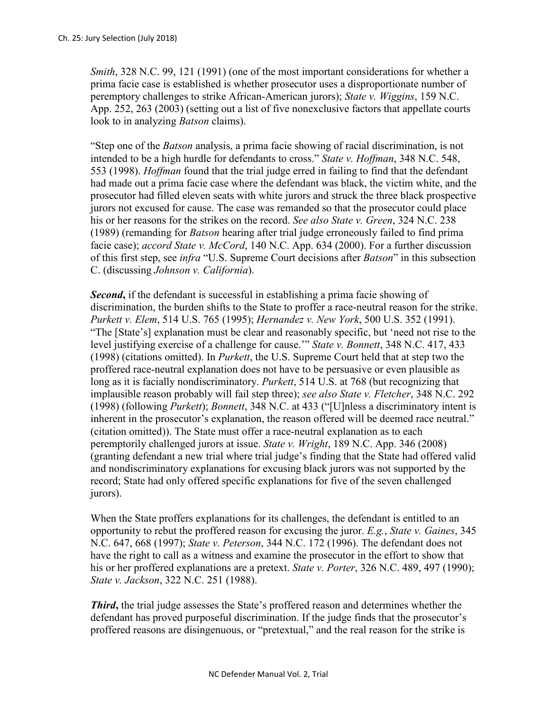*Smith*, 328 N.C. 99, 121 (1991) (one of the most important considerations for whether a prima facie case is established is whether prosecutor uses a disproportionate number of peremptory challenges to strike African-American jurors); *State v. Wiggins*, 159 N.C. App. 252, 263 (2003) (setting out a list of five nonexclusive factors that appellate courts look to in analyzing *Batson* claims).

"Step one of the *Batson* analysis, a prima facie showing of racial discrimination, is not intended to be a high hurdle for defendants to cross." *State v. Hoffman*, 348 N.C. 548, 553 (1998). *Hoffman* found that the trial judge erred in failing to find that the defendant had made out a prima facie case where the defendant was black, the victim white, and the prosecutor had filled eleven seats with white jurors and struck the three black prospective jurors not excused for cause. The case was remanded so that the prosecutor could place his or her reasons for the strikes on the record. *See also State v. Green*, 324 N.C. 238 (1989) (remanding for *Batson* hearing after trial judge erroneously failed to find prima facie case); *accord State v. McCord*, 140 N.C. App. 634 (2000). For a further discussion of this first step, see *infra* "U.S. Supreme Court decisions after *Batson*" in this subsection C. (discussing *Johnson v. California*).

*Second***,** if the defendant is successful in establishing a prima facie showing of discrimination, the burden shifts to the State to proffer a race-neutral reason for the strike. *Purkett v. Elem*, 514 U.S. 765 (1995); *Hernandez v. New York*, 500 U.S. 352 (1991). "The [State's] explanation must be clear and reasonably specific, but 'need not rise to the level justifying exercise of a challenge for cause.'" *State v. Bonnett*, 348 N.C. 417, 433 (1998) (citations omitted). In *Purkett*, the U.S. Supreme Court held that at step two the proffered race-neutral explanation does not have to be persuasive or even plausible as long as it is facially nondiscriminatory. *Purkett*, 514 U.S. at 768 (but recognizing that implausible reason probably will fail step three); *see also State v. Fletcher*, 348 N.C. 292 (1998) (following *Purkett*); *Bonnett*, 348 N.C. at 433 ("[U]nless a discriminatory intent is inherent in the prosecutor's explanation, the reason offered will be deemed race neutral." (citation omitted)). The State must offer a race-neutral explanation as to each peremptorily challenged jurors at issue. *State v. Wright*, 189 N.C. App. 346 (2008) (granting defendant a new trial where trial judge's finding that the State had offered valid and nondiscriminatory explanations for excusing black jurors was not supported by the record; State had only offered specific explanations for five of the seven challenged jurors).

When the State proffers explanations for its challenges, the defendant is entitled to an opportunity to rebut the proffered reason for excusing the juror. *E.g.*, *State v. Gaines*, 345 N.C. 647, 668 (1997); *State v. Peterson*, 344 N.C. 172 (1996). The defendant does not have the right to call as a witness and examine the prosecutor in the effort to show that his or her proffered explanations are a pretext. *State v. Porter*, 326 N.C. 489, 497 (1990); *State v. Jackson*, 322 N.C. 251 (1988).

*Third***,** the trial judge assesses the State's proffered reason and determines whether the defendant has proved purposeful discrimination. If the judge finds that the prosecutor's proffered reasons are disingenuous, or "pretextual," and the real reason for the strike is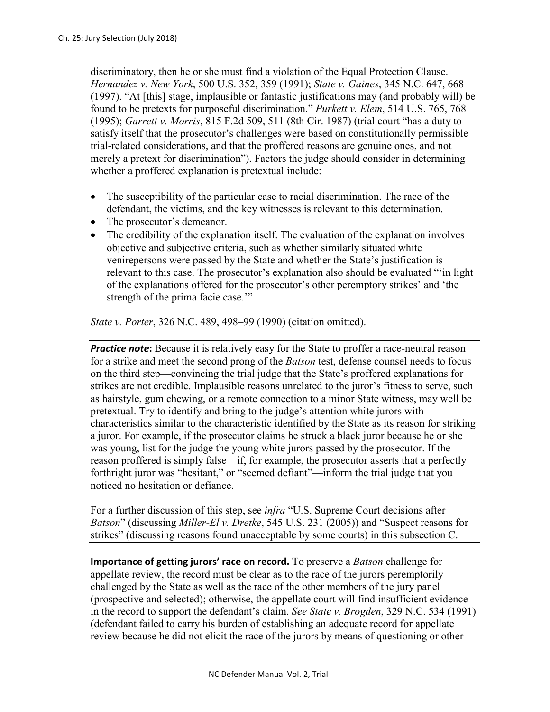discriminatory, then he or she must find a violation of the Equal Protection Clause. *Hernandez v. New York*, 500 U.S. 352, 359 (1991); *State v. Gaines*, 345 N.C. 647, 668 (1997). "At [this] stage, implausible or fantastic justifications may (and probably will) be found to be pretexts for purposeful discrimination." *Purkett v. Elem*, 514 U.S. 765, 768 (1995); *Garrett v. Morris*, 815 F.2d 509, 511 (8th Cir. 1987) (trial court "has a duty to satisfy itself that the prosecutor's challenges were based on constitutionally permissible trial-related considerations, and that the proffered reasons are genuine ones, and not merely a pretext for discrimination"). Factors the judge should consider in determining whether a proffered explanation is pretextual include:

- The susceptibility of the particular case to racial discrimination. The race of the defendant, the victims, and the key witnesses is relevant to this determination.
- The prosecutor's demeanor.
- The credibility of the explanation itself. The evaluation of the explanation involves objective and subjective criteria, such as whether similarly situated white venirepersons were passed by the State and whether the State's justification is relevant to this case. The prosecutor's explanation also should be evaluated "'in light of the explanations offered for the prosecutor's other peremptory strikes' and 'the strength of the prima facie case."

*State v. Porter*, 326 N.C. 489, 498–99 (1990) (citation omitted).

**Practice note:** Because it is relatively easy for the State to proffer a race-neutral reason for a strike and meet the second prong of the *Batson* test, defense counsel needs to focus on the third step—convincing the trial judge that the State's proffered explanations for strikes are not credible. Implausible reasons unrelated to the juror's fitness to serve, such as hairstyle, gum chewing, or a remote connection to a minor State witness, may well be pretextual. Try to identify and bring to the judge's attention white jurors with characteristics similar to the characteristic identified by the State as its reason for striking a juror. For example, if the prosecutor claims he struck a black juror because he or she was young, list for the judge the young white jurors passed by the prosecutor. If the reason proffered is simply false—if, for example, the prosecutor asserts that a perfectly forthright juror was "hesitant," or "seemed defiant"—inform the trial judge that you noticed no hesitation or defiance.

For a further discussion of this step, see *infra* "U.S. Supreme Court decisions after *Batson*" (discussing *Miller-El v. Dretke*, 545 U.S. 231 (2005)) and "Suspect reasons for strikes" (discussing reasons found unacceptable by some courts) in this subsection C.

**Importance of getting jurors' race on record.** To preserve a *Batson* challenge for appellate review, the record must be clear as to the race of the jurors peremptorily challenged by the State as well as the race of the other members of the jury panel (prospective and selected); otherwise, the appellate court will find insufficient evidence in the record to support the defendant's claim. *See State v. Brogden*, 329 N.C. 534 (1991) (defendant failed to carry his burden of establishing an adequate record for appellate review because he did not elicit the race of the jurors by means of questioning or other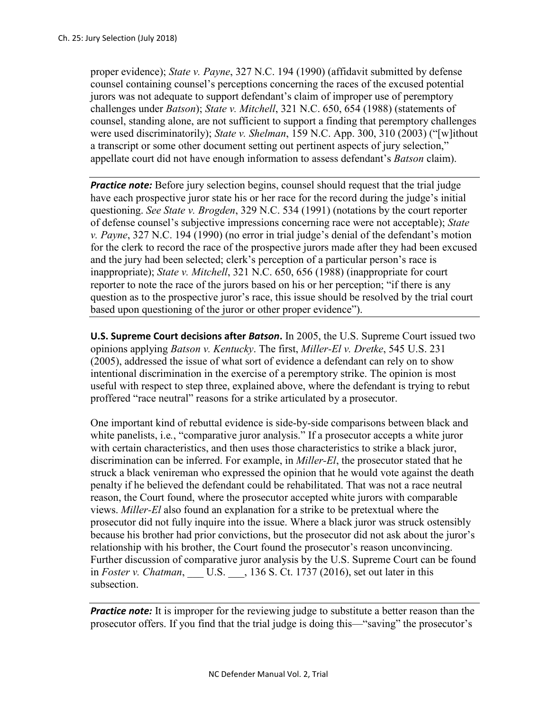proper evidence); *State v. Payne*, 327 N.C. 194 (1990) (affidavit submitted by defense counsel containing counsel's perceptions concerning the races of the excused potential jurors was not adequate to support defendant's claim of improper use of peremptory challenges under *Batson*); *State v. Mitchell*, 321 N.C. 650, 654 (1988) (statements of counsel, standing alone, are not sufficient to support a finding that peremptory challenges were used discriminatorily); *State v. Shelman*, 159 N.C. App. 300, 310 (2003) ("[w]ithout a transcript or some other document setting out pertinent aspects of jury selection," appellate court did not have enough information to assess defendant's *Batson* claim).

**Practice note:** Before jury selection begins, counsel should request that the trial judge have each prospective juror state his or her race for the record during the judge's initial questioning. *See State v. Brogden*, 329 N.C. 534 (1991) (notations by the court reporter of defense counsel's subjective impressions concerning race were not acceptable); *State v. Payne*, 327 N.C. 194 (1990) (no error in trial judge's denial of the defendant's motion for the clerk to record the race of the prospective jurors made after they had been excused and the jury had been selected; clerk's perception of a particular person's race is inappropriate); *State v. Mitchell*, 321 N.C. 650, 656 (1988) (inappropriate for court reporter to note the race of the jurors based on his or her perception; "if there is any question as to the prospective juror's race, this issue should be resolved by the trial court based upon questioning of the juror or other proper evidence").

**U.S. Supreme Court decisions after** *Batson***.** In 2005, the U.S. Supreme Court issued two opinions applying *Batson v. Kentucky*. The first, *Miller-El v. Dretke*, 545 U.S. 231 (2005), addressed the issue of what sort of evidence a defendant can rely on to show intentional discrimination in the exercise of a peremptory strike. The opinion is most useful with respect to step three, explained above, where the defendant is trying to rebut proffered "race neutral" reasons for a strike articulated by a prosecutor.

One important kind of rebuttal evidence is side-by-side comparisons between black and white panelists, *i.e.*, "comparative juror analysis." If a prosecutor accepts a white juror with certain characteristics, and then uses those characteristics to strike a black juror, discrimination can be inferred. For example, in *Miller-El*, the prosecutor stated that he struck a black venireman who expressed the opinion that he would vote against the death penalty if he believed the defendant could be rehabilitated. That was not a race neutral reason, the Court found, where the prosecutor accepted white jurors with comparable views. *Miller-El* also found an explanation for a strike to be pretextual where the prosecutor did not fully inquire into the issue. Where a black juror was struck ostensibly because his brother had prior convictions, but the prosecutor did not ask about the juror's relationship with his brother, the Court found the prosecutor's reason unconvincing. Further discussion of comparative juror analysis by the U.S. Supreme Court can be found in *Foster v. Chatman*, \_\_\_ U.S. \_\_\_, 136 S. Ct. 1737 (2016), set out later in this subsection.

*Practice note:* It is improper for the reviewing judge to substitute a better reason than the prosecutor offers. If you find that the trial judge is doing this—"saving" the prosecutor's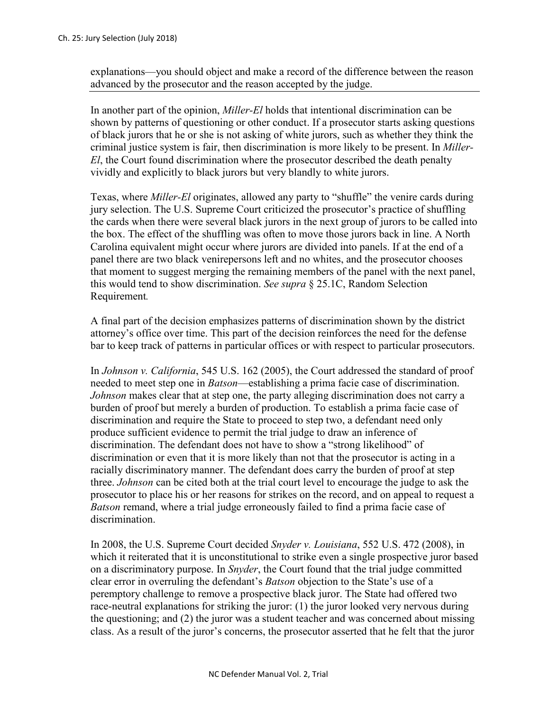explanations—you should object and make a record of the difference between the reason advanced by the prosecutor and the reason accepted by the judge.

In another part of the opinion, *Miller-El* holds that intentional discrimination can be shown by patterns of questioning or other conduct. If a prosecutor starts asking questions of black jurors that he or she is not asking of white jurors, such as whether they think the criminal justice system is fair, then discrimination is more likely to be present. In *Miller-El*, the Court found discrimination where the prosecutor described the death penalty vividly and explicitly to black jurors but very blandly to white jurors.

Texas, where *Miller-El* originates, allowed any party to "shuffle" the venire cards during jury selection. The U.S. Supreme Court criticized the prosecutor's practice of shuffling the cards when there were several black jurors in the next group of jurors to be called into the box. The effect of the shuffling was often to move those jurors back in line. A North Carolina equivalent might occur where jurors are divided into panels. If at the end of a panel there are two black venirepersons left and no whites, and the prosecutor chooses that moment to suggest merging the remaining members of the panel with the next panel, this would tend to show discrimination. *See supra* § 25.1C, Random Selection Requirement*.*

A final part of the decision emphasizes patterns of discrimination shown by the district attorney's office over time. This part of the decision reinforces the need for the defense bar to keep track of patterns in particular offices or with respect to particular prosecutors.

In *Johnson v. California*, 545 U.S. 162 (2005), the Court addressed the standard of proof needed to meet step one in *Batson*—establishing a prima facie case of discrimination. *Johnson* makes clear that at step one, the party alleging discrimination does not carry a burden of proof but merely a burden of production. To establish a prima facie case of discrimination and require the State to proceed to step two, a defendant need only produce sufficient evidence to permit the trial judge to draw an inference of discrimination. The defendant does not have to show a "strong likelihood" of discrimination or even that it is more likely than not that the prosecutor is acting in a racially discriminatory manner. The defendant does carry the burden of proof at step three. *Johnson* can be cited both at the trial court level to encourage the judge to ask the prosecutor to place his or her reasons for strikes on the record, and on appeal to request a *Batson* remand, where a trial judge erroneously failed to find a prima facie case of discrimination.

In 2008, the U.S. Supreme Court decided *Snyder v. Louisiana*, 552 U.S. 472 (2008), in which it reiterated that it is unconstitutional to strike even a single prospective juror based on a discriminatory purpose. In *Snyder*, the Court found that the trial judge committed clear error in overruling the defendant's *Batson* objection to the State's use of a peremptory challenge to remove a prospective black juror. The State had offered two race-neutral explanations for striking the juror: (1) the juror looked very nervous during the questioning; and (2) the juror was a student teacher and was concerned about missing class. As a result of the juror's concerns, the prosecutor asserted that he felt that the juror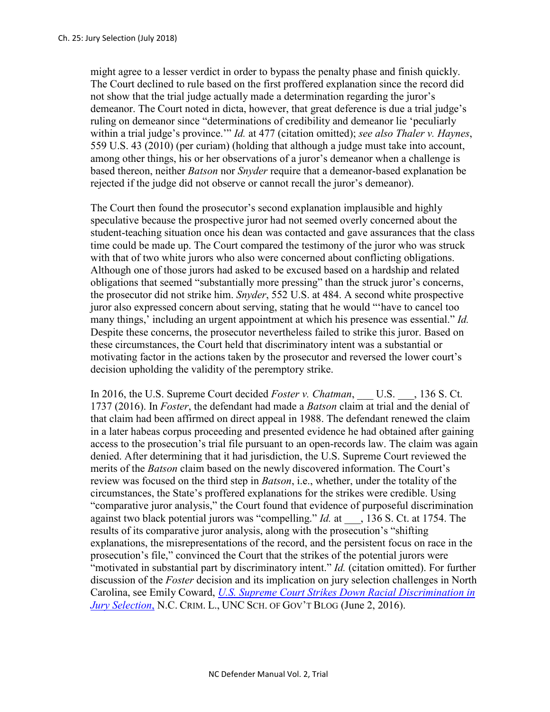might agree to a lesser verdict in order to bypass the penalty phase and finish quickly. The Court declined to rule based on the first proffered explanation since the record did not show that the trial judge actually made a determination regarding the juror's demeanor. The Court noted in dicta, however, that great deference is due a trial judge's ruling on demeanor since "determinations of credibility and demeanor lie 'peculiarly within a trial judge's province.'" *Id.* at 477 (citation omitted); *see also Thaler v. Haynes*, 559 U.S. 43 (2010) (per curiam) (holding that although a judge must take into account, among other things, his or her observations of a juror's demeanor when a challenge is based thereon, neither *Batson* nor *Snyder* require that a demeanor-based explanation be rejected if the judge did not observe or cannot recall the juror's demeanor).

The Court then found the prosecutor's second explanation implausible and highly speculative because the prospective juror had not seemed overly concerned about the student-teaching situation once his dean was contacted and gave assurances that the class time could be made up. The Court compared the testimony of the juror who was struck with that of two white jurors who also were concerned about conflicting obligations. Although one of those jurors had asked to be excused based on a hardship and related obligations that seemed "substantially more pressing" than the struck juror's concerns, the prosecutor did not strike him. *Snyder*, 552 U.S. at 484. A second white prospective juror also expressed concern about serving, stating that he would "'have to cancel too many things,' including an urgent appointment at which his presence was essential." *Id.*  Despite these concerns, the prosecutor nevertheless failed to strike this juror. Based on these circumstances, the Court held that discriminatory intent was a substantial or motivating factor in the actions taken by the prosecutor and reversed the lower court's decision upholding the validity of the peremptory strike.

In 2016, the U.S. Supreme Court decided *Foster v. Chatman*, \_\_\_ U.S. \_\_\_, 136 S. Ct. 1737 (2016). In *Foster*, the defendant had made a *Batson* claim at trial and the denial of that claim had been affirmed on direct appeal in 1988. The defendant renewed the claim in a later habeas corpus proceeding and presented evidence he had obtained after gaining access to the prosecution's trial file pursuant to an open-records law. The claim was again denied. After determining that it had jurisdiction, the U.S. Supreme Court reviewed the merits of the *Batson* claim based on the newly discovered information. The Court's review was focused on the third step in *Batson*, i.e., whether, under the totality of the circumstances, the State's proffered explanations for the strikes were credible. Using "comparative juror analysis," the Court found that evidence of purposeful discrimination against two black potential jurors was "compelling." *Id.* at \_\_\_, 136 S. Ct. at 1754. The results of its comparative juror analysis, along with the prosecution's "shifting explanations, the misrepresentations of the record, and the persistent focus on race in the prosecution's file," convinced the Court that the strikes of the potential jurors were "motivated in substantial part by discriminatory intent." *Id.* (citation omitted). For further discussion of the *Foster* decision and its implication on jury selection challenges in North Carolina, see Emily Coward, *[U.S. Supreme Court Strikes Down Racial Discrimination in](http://nccriminallaw.sog.unc.edu/u-s-supreme-court-strikes-racial-discrimination-jury-selection/)  [Jury Selection](http://nccriminallaw.sog.unc.edu/u-s-supreme-court-strikes-racial-discrimination-jury-selection/)*, N.C. CRIM. L., UNC SCH. OF GOV'T BLOG (June 2, 2016).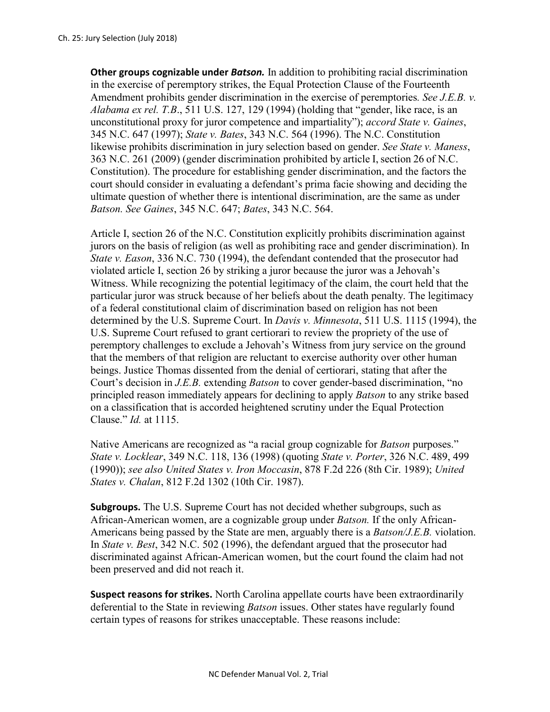**Other groups cognizable under** *Batson.* In addition to prohibiting racial discrimination in the exercise of peremptory strikes, the Equal Protection Clause of the Fourteenth Amendment prohibits gender discrimination in the exercise of peremptories*. See J.E.B. v. Alabama ex rel. T.B*., 511 U.S. 127, 129 (1994) (holding that "gender, like race, is an unconstitutional proxy for juror competence and impartiality"); *accord State v. Gaines*, 345 N.C. 647 (1997); *State v. Bates*, 343 N.C. 564 (1996). The N.C. Constitution likewise prohibits discrimination in jury selection based on gender. *See State v. Maness*, 363 N.C. 261 (2009) (gender discrimination prohibited by article I, section 26 of N.C. Constitution). The procedure for establishing gender discrimination, and the factors the court should consider in evaluating a defendant's prima facie showing and deciding the ultimate question of whether there is intentional discrimination, are the same as under *Batson. See Gaines*, 345 N.C. 647; *Bates*, 343 N.C. 564.

Article I, section 26 of the N.C. Constitution explicitly prohibits discrimination against jurors on the basis of religion (as well as prohibiting race and gender discrimination). In *State v. Eason*, 336 N.C. 730 (1994), the defendant contended that the prosecutor had violated article I, section 26 by striking a juror because the juror was a Jehovah's Witness. While recognizing the potential legitimacy of the claim, the court held that the particular juror was struck because of her beliefs about the death penalty. The legitimacy of a federal constitutional claim of discrimination based on religion has not been determined by the U.S. Supreme Court. In *Davis v. Minnesota*, 511 U.S. 1115 (1994), the U.S. Supreme Court refused to grant certiorari to review the propriety of the use of peremptory challenges to exclude a Jehovah's Witness from jury service on the ground that the members of that religion are reluctant to exercise authority over other human beings. Justice Thomas dissented from the denial of certiorari, stating that after the Court's decision in *J.E.B.* extending *Batson* to cover gender-based discrimination, "no principled reason immediately appears for declining to apply *Batson* to any strike based on a classification that is accorded heightened scrutiny under the Equal Protection Clause." *Id.* at 1115.

Native Americans are recognized as "a racial group cognizable for *Batson* purposes." *State v. Locklear*, 349 N.C. 118, 136 (1998) (quoting *State v. Porter*, 326 N.C. 489, 499 (1990)); *see also United States v. Iron Moccasin*, 878 F.2d 226 (8th Cir. 1989); *United States v. Chalan*, 812 F.2d 1302 (10th Cir. 1987).

**Subgroups.** The U.S. Supreme Court has not decided whether subgroups, such as African-American women, are a cognizable group under *Batson.* If the only African-Americans being passed by the State are men, arguably there is a *Batson/J.E.B.* violation. In *State v. Best*, 342 N.C. 502 (1996), the defendant argued that the prosecutor had discriminated against African-American women, but the court found the claim had not been preserved and did not reach it.

**Suspect reasons for strikes.** North Carolina appellate courts have been extraordinarily deferential to the State in reviewing *Batson* issues. Other states have regularly found certain types of reasons for strikes unacceptable. These reasons include: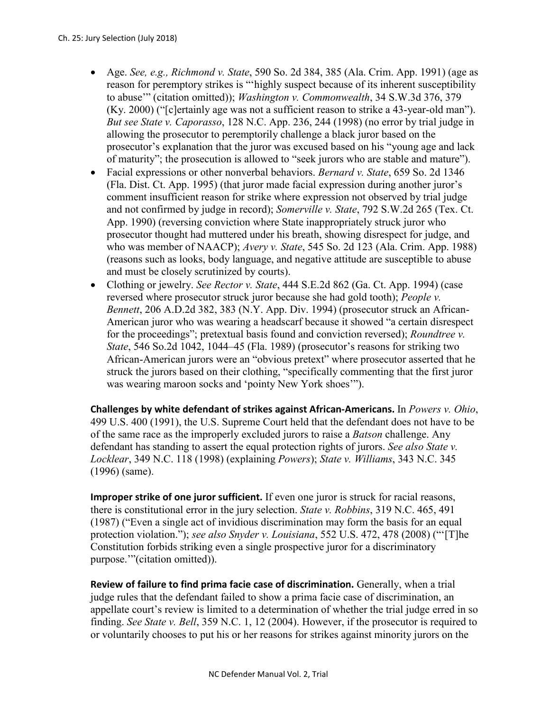- Age. *See, e.g., Richmond v. State*, 590 So. 2d 384, 385 (Ala. Crim. App. 1991) (age as reason for peremptory strikes is "'highly suspect because of its inherent susceptibility to abuse'" (citation omitted)); *Washington v. Commonwealth*, 34 S.W.3d 376, 379 (Ky. 2000) ("[c]ertainly age was not a sufficient reason to strike a 43-year-old man"). *But see State v. Caporasso*, 128 N.C. App. 236, 244 (1998) (no error by trial judge in allowing the prosecutor to peremptorily challenge a black juror based on the prosecutor's explanation that the juror was excused based on his "young age and lack of maturity"; the prosecution is allowed to "seek jurors who are stable and mature").
- Facial expressions or other nonverbal behaviors. *Bernard v. State*, 659 So. 2d 1346 (Fla. Dist. Ct. App. 1995) (that juror made facial expression during another juror's comment insufficient reason for strike where expression not observed by trial judge and not confirmed by judge in record); *Somerville v. State*, 792 S.W.2d 265 (Tex. Ct. App. 1990) (reversing conviction where State inappropriately struck juror who prosecutor thought had muttered under his breath, showing disrespect for judge, and who was member of NAACP); *Avery v. State*, 545 So. 2d 123 (Ala. Crim. App. 1988) (reasons such as looks, body language, and negative attitude are susceptible to abuse and must be closely scrutinized by courts).
- Clothing or jewelry. *See Rector v. State*, 444 S.E.2d 862 (Ga. Ct. App. 1994) (case reversed where prosecutor struck juror because she had gold tooth); *People v. Bennett*, 206 A.D.2d 382, 383 (N.Y. App. Div. 1994) (prosecutor struck an African-American juror who was wearing a headscarf because it showed "a certain disrespect for the proceedings"; pretextual basis found and conviction reversed); *Roundtree v. State*, 546 So.2d 1042, 1044–45 (Fla. 1989) (prosecutor's reasons for striking two African-American jurors were an "obvious pretext" where prosecutor asserted that he struck the jurors based on their clothing, "specifically commenting that the first juror was wearing maroon socks and 'pointy New York shoes'").

**Challenges by white defendant of strikes against African-Americans.** In *Powers v. Ohio*, 499 U.S. 400 (1991), the U.S. Supreme Court held that the defendant does not have to be of the same race as the improperly excluded jurors to raise a *Batson* challenge. Any defendant has standing to assert the equal protection rights of jurors. *See also State v. Locklear*, 349 N.C. 118 (1998) (explaining *Powers*); *State v. Williams*, 343 N.C. 345 (1996) (same).

**Improper strike of one juror sufficient.** If even one juror is struck for racial reasons, there is constitutional error in the jury selection. *State v. Robbins*, 319 N.C. 465, 491 (1987) ("Even a single act of invidious discrimination may form the basis for an equal protection violation."); *see also Snyder v. Louisiana*, 552 U.S. 472, 478 (2008) ("'[T]he Constitution forbids striking even a single prospective juror for a discriminatory purpose.'"(citation omitted)).

**Review of failure to find prima facie case of discrimination.** Generally, when a trial judge rules that the defendant failed to show a prima facie case of discrimination, an appellate court's review is limited to a determination of whether the trial judge erred in so finding. *See State v. Bell*, 359 N.C. 1, 12 (2004). However, if the prosecutor is required to or voluntarily chooses to put his or her reasons for strikes against minority jurors on the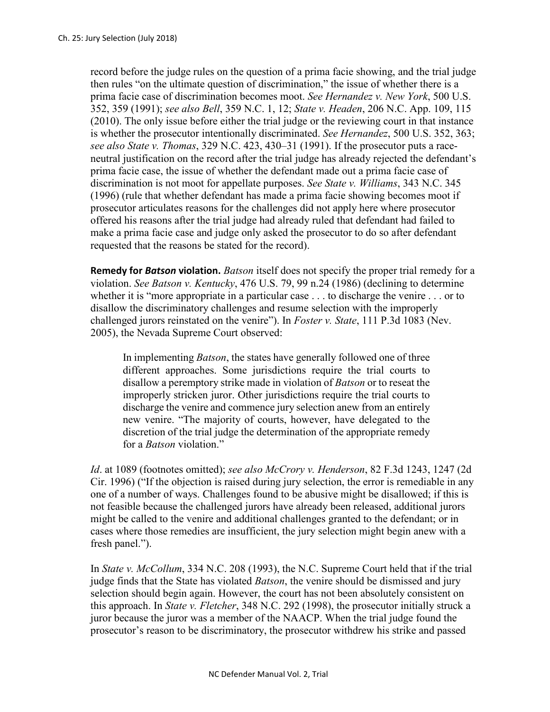record before the judge rules on the question of a prima facie showing, and the trial judge then rules "on the ultimate question of discrimination," the issue of whether there is a prima facie case of discrimination becomes moot. *See Hernandez v. New York*, 500 U.S. 352, 359 (1991); *see also Bell*, 359 N.C. 1, 12; *State v. Headen*, 206 N.C. App. 109, 115 (2010). The only issue before either the trial judge or the reviewing court in that instance is whether the prosecutor intentionally discriminated. *See Hernandez*, 500 U.S. 352, 363; *see also State v. Thomas*, 329 N.C. 423, 430–31 (1991). If the prosecutor puts a raceneutral justification on the record after the trial judge has already rejected the defendant's prima facie case, the issue of whether the defendant made out a prima facie case of discrimination is not moot for appellate purposes. *See State v. Williams*, 343 N.C. 345 (1996) (rule that whether defendant has made a prima facie showing becomes moot if prosecutor articulates reasons for the challenges did not apply here where prosecutor offered his reasons after the trial judge had already ruled that defendant had failed to make a prima facie case and judge only asked the prosecutor to do so after defendant requested that the reasons be stated for the record).

**Remedy for** *Batson* **violation.** *Batson* itself does not specify the proper trial remedy for a violation. *See Batson v. Kentucky*, 476 U.S. 79, 99 n.24 (1986) (declining to determine whether it is "more appropriate in a particular case . . . to discharge the venire . . . or to disallow the discriminatory challenges and resume selection with the improperly challenged jurors reinstated on the venire"). In *Foster v. State*, 111 P.3d 1083 (Nev. 2005), the Nevada Supreme Court observed:

In implementing *Batson*, the states have generally followed one of three different approaches. Some jurisdictions require the trial courts to disallow a peremptory strike made in violation of *Batson* or to reseat the improperly stricken juror. Other jurisdictions require the trial courts to discharge the venire and commence jury selection anew from an entirely new venire. "The majority of courts, however, have delegated to the discretion of the trial judge the determination of the appropriate remedy for a *Batson* violation."

*Id*. at 1089 (footnotes omitted); *see also McCrory v. Henderson*, 82 F.3d 1243, 1247 (2d Cir. 1996) ("If the objection is raised during jury selection, the error is remediable in any one of a number of ways. Challenges found to be abusive might be disallowed; if this is not feasible because the challenged jurors have already been released, additional jurors might be called to the venire and additional challenges granted to the defendant; or in cases where those remedies are insufficient, the jury selection might begin anew with a fresh panel.").

In *State v. McCollum*, 334 N.C. 208 (1993), the N.C. Supreme Court held that if the trial judge finds that the State has violated *Batson*, the venire should be dismissed and jury selection should begin again. However, the court has not been absolutely consistent on this approach. In *State v. Fletcher*, 348 N.C. 292 (1998), the prosecutor initially struck a juror because the juror was a member of the NAACP. When the trial judge found the prosecutor's reason to be discriminatory, the prosecutor withdrew his strike and passed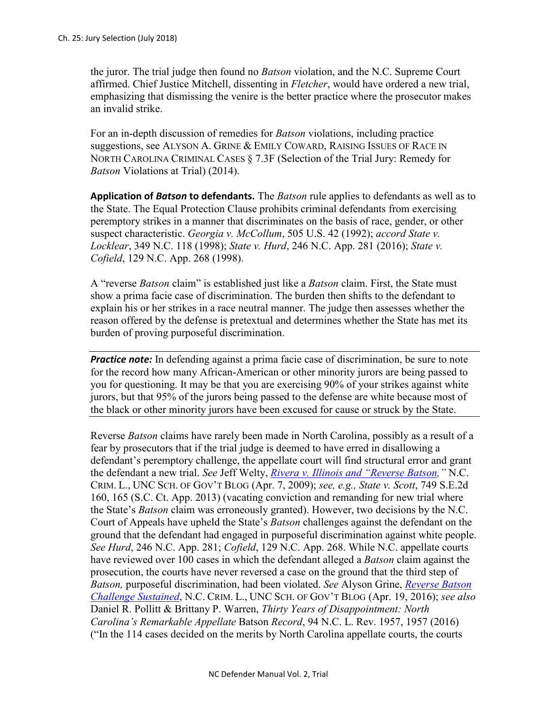the juror. The trial judge then found no *Batson* violation, and the N.C. Supreme Court affirmed. Chief Justice Mitchell, dissenting in *Fletcher*, would have ordered a new trial, emphasizing that dismissing the venire is the better practice where the prosecutor makes an invalid strike.

For an in-depth discussion of remedies for *Batson* violations, including practice suggestions, see ALYSON A. GRINE & EMILY COWARD, RAISING ISSUES OF RACE IN NORTH CAROLINA CRIMINAL CASES § 7.3F (Selection of the Trial Jury: Remedy for *Batson* Violations at Trial) (2014).

**Application of** *Batson* **to defendants.** The *Batson* rule applies to defendants as well as to the State. The Equal Protection Clause prohibits criminal defendants from exercising peremptory strikes in a manner that discriminates on the basis of race, gender, or other suspect characteristic. *Georgia v. McCollum*, 505 U.S. 42 (1992); *accord State v. Locklear*, 349 N.C. 118 (1998); *State v. Hurd*, 246 N.C. App. 281 (2016); *State v. Cofield*, 129 N.C. App. 268 (1998).

A "reverse *Batson* claim" is established just like a *Batson* claim. First, the State must show a prima facie case of discrimination. The burden then shifts to the defendant to explain his or her strikes in a race neutral manner. The judge then assesses whether the reason offered by the defense is pretextual and determines whether the State has met its burden of proving purposeful discrimination.

**Practice note:** In defending against a prima facie case of discrimination, be sure to note for the record how many African-American or other minority jurors are being passed to you for questioning. It may be that you are exercising 90% of your strikes against white jurors, but that 95% of the jurors being passed to the defense are white because most of the black or other minority jurors have been excused for cause or struck by the State.

Reverse *Batson* claims have rarely been made in North Carolina, possibly as a result of a fear by prosecutors that if the trial judge is deemed to have erred in disallowing a defendant's peremptory challenge, the appellate court will find structural error and grant the defendant a new trial. *See* Jeff Welty, *[Rivera v. Illinois and "Reverse Batson,](http://nccriminallaw.sog.unc.edu/rivera-v-illinois-and-reverse-batson/)"* N.C. CRIM. L., UNC SCH. OF GOV'T BLOG (Apr. 7, 2009); *see, e.g., State v. Scott*, 749 S.E.2d 160, 165 (S.C. Ct. App. 2013) (vacating conviction and remanding for new trial where the State's *Batson* claim was erroneously granted). However, two decisions by the N.C. Court of Appeals have upheld the State's *Batson* challenges against the defendant on the ground that the defendant had engaged in purposeful discrimination against white people. *See Hurd*, 246 N.C. App. 281; *Cofield*, 129 N.C. App. 268. While N.C. appellate courts have reviewed over 100 cases in which the defendant alleged a *Batson* claim against the prosecution, the courts have never reversed a case on the ground that the third step of *Batson,* purposeful discrimination, had been violated. *See* Alyson Grine, *[Reverse Batson](http://nccriminallaw.sog.unc.edu/reverse-batson-challenge-sustained/)  [Challenge Sustained](http://nccriminallaw.sog.unc.edu/reverse-batson-challenge-sustained/)*, N.C. CRIM. L., UNC SCH. OF GOV'T BLOG (Apr. 19, 2016); *see also*  Daniel R. Pollitt & Brittany P. Warren, *Thirty Years of Disappointment: North Carolina's Remarkable Appellate* Batson *Record*, 94 N.C. L. Rev. 1957, 1957 (2016) ("In the 114 cases decided on the merits by North Carolina appellate courts, the courts